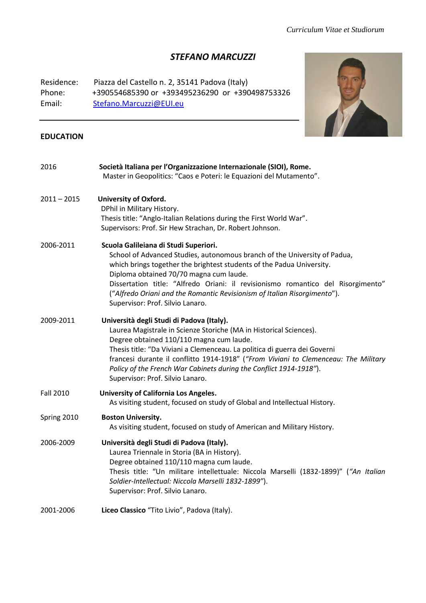# *STEFANO MARCUZZI*

Residence: Piazza del Castello n. 2, 35141 Padova (Italy) Phone: +390554685390 or +393495236290 or +390498753326 Email: [Stefano.Marcuzzi@EUI.eu](mailto:Stefano.Marcuzzi@EUI.eu)



### **EDUCATION**

| 2016             | Società Italiana per l'Organizzazione Internazionale (SIOI), Rome.<br>Master in Geopolitics: "Caos e Poteri: le Equazioni del Mutamento".                                                                                                                                                                                                                                                                                                  |
|------------------|--------------------------------------------------------------------------------------------------------------------------------------------------------------------------------------------------------------------------------------------------------------------------------------------------------------------------------------------------------------------------------------------------------------------------------------------|
| $2011 - 2015$    | <b>University of Oxford.</b><br>DPhil in Military History.<br>Thesis title: "Anglo-Italian Relations during the First World War".<br>Supervisors: Prof. Sir Hew Strachan, Dr. Robert Johnson.                                                                                                                                                                                                                                              |
| 2006-2011        | Scuola Galileiana di Studi Superiori.<br>School of Advanced Studies, autonomous branch of the University of Padua,<br>which brings together the brightest students of the Padua University.<br>Diploma obtained 70/70 magna cum laude.<br>Dissertation title: "Alfredo Oriani: il revisionismo romantico del Risorgimento"<br>("Alfredo Oriani and the Romantic Revisionism of Italian Risorgimento").<br>Supervisor: Prof. Silvio Lanaro. |
| 2009-2011        | Università degli Studi di Padova (Italy).<br>Laurea Magistrale in Scienze Storiche (MA in Historical Sciences).<br>Degree obtained 110/110 magna cum laude.<br>Thesis title: "Da Viviani a Clemenceau. La politica di guerra dei Governi<br>francesi durante il conflitto 1914-1918" ("From Viviani to Clemenceau: The Military<br>Policy of the French War Cabinets during the Conflict 1914-1918").<br>Supervisor: Prof. Silvio Lanaro.  |
| <b>Fall 2010</b> | University of California Los Angeles.<br>As visiting student, focused on study of Global and Intellectual History.                                                                                                                                                                                                                                                                                                                         |
| Spring 2010      | <b>Boston University.</b><br>As visiting student, focused on study of American and Military History.                                                                                                                                                                                                                                                                                                                                       |
| 2006-2009        | Università degli Studi di Padova (Italy).<br>Laurea Triennale in Storia (BA in History).<br>Degree obtained 110/110 magna cum laude.<br>Thesis title: "Un militare intellettuale: Niccola Marselli (1832-1899)" ("An Italian<br>Soldier-Intellectual: Niccola Marselli 1832-1899").<br>Supervisor: Prof. Silvio Lanaro.                                                                                                                    |
| 2001-2006        | Liceo Classico "Tito Livio", Padova (Italy).                                                                                                                                                                                                                                                                                                                                                                                               |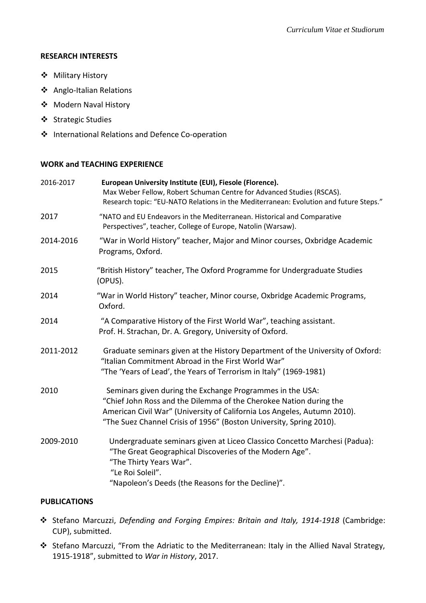#### **RESEARCH INTERESTS**

- Military History
- Anglo-Italian Relations
- Modern Naval History
- ❖ Strategic Studies
- ❖ International Relations and Defence Co-operation

### **WORK and TEACHING EXPERIENCE**

| 2016-2017 | European University Institute (EUI), Fiesole (Florence).<br>Max Weber Fellow, Robert Schuman Centre for Advanced Studies (RSCAS).<br>Research topic: "EU-NATO Relations in the Mediterranean: Evolution and future Steps."                                                         |
|-----------|------------------------------------------------------------------------------------------------------------------------------------------------------------------------------------------------------------------------------------------------------------------------------------|
| 2017      | "NATO and EU Endeavors in the Mediterranean. Historical and Comparative<br>Perspectives", teacher, College of Europe, Natolin (Warsaw).                                                                                                                                            |
| 2014-2016 | "War in World History" teacher, Major and Minor courses, Oxbridge Academic<br>Programs, Oxford.                                                                                                                                                                                    |
| 2015      | "British History" teacher, The Oxford Programme for Undergraduate Studies<br>(OPUS).                                                                                                                                                                                               |
| 2014      | "War in World History" teacher, Minor course, Oxbridge Academic Programs,<br>Oxford.                                                                                                                                                                                               |
| 2014      | "A Comparative History of the First World War", teaching assistant.<br>Prof. H. Strachan, Dr. A. Gregory, University of Oxford.                                                                                                                                                    |
| 2011-2012 | Graduate seminars given at the History Department of the University of Oxford:<br>"Italian Commitment Abroad in the First World War"<br>"The 'Years of Lead', the Years of Terrorism in Italy" (1969-1981)                                                                         |
| 2010      | Seminars given during the Exchange Programmes in the USA:<br>"Chief John Ross and the Dilemma of the Cherokee Nation during the<br>American Civil War" (University of California Los Angeles, Autumn 2010).<br>"The Suez Channel Crisis of 1956" (Boston University, Spring 2010). |
| 2009-2010 | Undergraduate seminars given at Liceo Classico Concetto Marchesi (Padua):<br>"The Great Geographical Discoveries of the Modern Age".<br>"The Thirty Years War".<br>"Le Roi Soleil".<br>"Napoleon's Deeds (the Reasons for the Decline)".                                           |

### **PUBLICATIONS**

- Stefano Marcuzzi, *Defending and Forging Empires: Britain and Italy, 1914-1918* (Cambridge: CUP), submitted.
- Stefano Marcuzzi, "From the Adriatic to the Mediterranean: Italy in the Allied Naval Strategy, 1915-1918", submitted to *War in History*, 2017.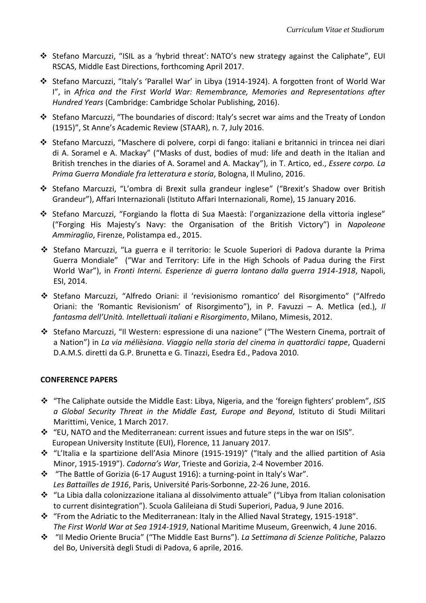- Stefano Marcuzzi, "ISIL as a 'hybrid threat': NATO's new strategy against the Caliphate", EUI RSCAS, Middle East Directions, forthcoming April 2017.
- Stefano Marcuzzi, "Italy's 'Parallel War' in Libya (1914-1924). A forgotten front of World War I", in *Africa and the First World War: Remembrance, Memories and Representations after Hundred Years* (Cambridge: Cambridge Scholar Publishing, 2016).
- Stefano Marcuzzi, "The boundaries of discord: Italy's secret war aims and the Treaty of London (1915)", St Anne's Academic Review (STAAR), n. 7, July 2016.
- Stefano Marcuzzi, "Maschere di polvere, corpi di fango: italiani e britannici in trincea nei diari di A. Soramel e A. Mackay" ("Masks of dust, bodies of mud: life and death in the Italian and British trenches in the diaries of A. Soramel and A. Mackay"), in T. Artico, ed., *Essere corpo. La Prima Guerra Mondiale fra letteratura e storia*, Bologna, Il Mulino, 2016.
- Stefano Marcuzzi, "L'ombra di Brexit sulla grandeur inglese" ("Brexit's Shadow over British Grandeur"), Affari Internazionali (Istituto Affari Internazionali, Rome), 15 January 2016.
- Stefano Marcuzzi, "Forgiando la flotta di Sua Maestà: l'organizzazione della vittoria inglese" ("Forging His Majesty's Navy: the Organisation of the British Victory") in *Napoleone Ammiraglio*, Firenze, Polistampa ed., 2015.
- Stefano Marcuzzi, "La guerra e il territorio: le Scuole Superiori di Padova durante la Prima Guerra Mondiale" ("War and Territory: Life in the High Schools of Padua during the First World War"), in *Fronti Interni. Esperienze di guerra lontano dalla guerra 1914-1918*, Napoli, ESI, 2014.
- Stefano Marcuzzi, "Alfredo Oriani: il 'revisionismo romantico' del Risorgimento" ("Alfredo Oriani: the 'Romantic Revisionism' of Risorgimento"), in P. Favuzzi – A. Metlica (ed.), *Il fantasma dell'Unità. Intellettuali italiani e Risorgimento*, Milano, Mimesis, 2012.
- Stefano Marcuzzi, "Il Western: espressione di una nazione" ("The Western Cinema, portrait of a Nation") in *La via mélièsiana*. *Viaggio nella storia del cinema in quattordici tappe*, Quaderni D.A.M.S. diretti da G.P. Brunetta e G. Tinazzi, Esedra Ed., Padova 2010.

# **CONFERENCE PAPERS**

- "The Caliphate outside the Middle East: Libya, Nigeria, and the 'foreign fighters' problem", *ISIS a Global Security Threat in the Middle East, Europe and Beyond*, Istituto di Studi Militari Marittimi, Venice, 1 March 2017.
- $\cdot$  "EU, NATO and the Mediterranean: current issues and future steps in the war on ISIS". European University Institute (EUI), Florence, 11 January 2017.
- "L'Italia e la spartizione dell'Asia Minore (1915-1919)" ("Italy and the allied partition of Asia Minor, 1915-1919"). *Cadorna's War*, Trieste and Gorizia, 2-4 November 2016.
- $\cdot \cdot$  "The Battle of Gorizia (6-17 August 1916): a turning-point in Italy's War". *Les Battailles de 1916*, Paris, Université Paris-Sorbonne, 22-26 June, 2016.
- "La Libia dalla colonizzazione italiana al dissolvimento attuale" ("Libya from Italian colonisation to current disintegration"). Scuola Galileiana di Studi Superiori, Padua, 9 June 2016.
- $\cdot$  "From the Adriatic to the Mediterranean: Italy in the Allied Naval Strategy, 1915-1918". *The First World War at Sea 1914-1919*, National Maritime Museum, Greenwich, 4 June 2016.
- "Il Medio Oriente Brucia" ("The Middle East Burns"). *La Settimana di Scienze Politiche*, Palazzo del Bo, Università degli Studi di Padova, 6 aprile, 2016.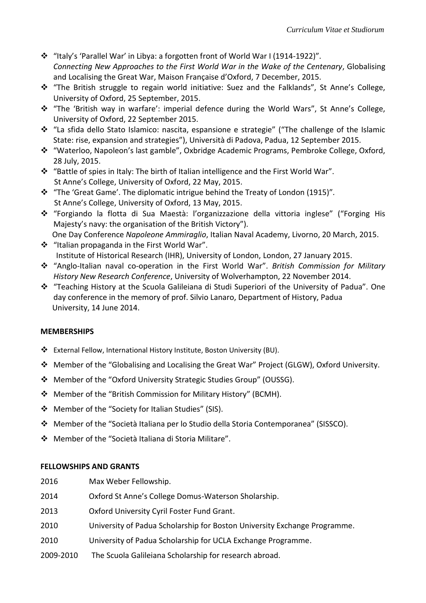- $\cdot$  "Italy's 'Parallel War' in Libya: a forgotten front of World War I (1914-1922)". *Connecting New Approaches to the First World War in the Wake of the Centenary*, Globalising and Localising the Great War, Maison Française d'Oxford, 7 December, 2015.
- \* "The British struggle to regain world initiative: Suez and the Falklands", St Anne's College, University of Oxford, 25 September, 2015.
- \* "The 'British way in warfare': imperial defence during the World Wars", St Anne's College, University of Oxford, 22 September 2015.
- "La sfida dello Stato Islamico: nascita, espansione e strategie" ("The challenge of the Islamic State: rise, expansion and strategies"), Università di Padova, Padua, 12 September 2015.
- "Waterloo, Napoleon's last gamble", Oxbridge Academic Programs, Pembroke College, Oxford, 28 July, 2015.
- "Battle of spies in Italy: The birth of Italian intelligence and the First World War". St Anne's College, University of Oxford, 22 May, 2015.
- "The 'Great Game'. The diplomatic intrigue behind the Treaty of London (1915)"*.* St Anne's College, University of Oxford, 13 May, 2015.
- "Forgiando la flotta di Sua Maestà: l'organizzazione della vittoria inglese" ("Forging His Majesty's navy: the organisation of the British Victory"). One Day Conference *Napoleone Ammiraglio*, Italian Naval Academy, Livorno, 20 March, 2015.
- ❖ "Italian propaganda in the First World War". Institute of Historical Research (IHR), University of London, London, 27 January 2015.
- "Anglo-Italian naval co-operation in the First World War". *British Commission for Military History New Research Conference*, University of Wolverhampton, 22 November 2014.
- "Teaching History at the Scuola Galileiana di Studi Superiori of the University of Padua". One day conference in the memory of prof. Silvio Lanaro, Department of History, Padua University, 14 June 2014.

# **MEMBERSHIPS**

- External Fellow, International History Institute, Boston University (BU).
- Member of the "Globalising and Localising the Great War" Project (GLGW), Oxford University.
- Member of the "Oxford University Strategic Studies Group" (OUSSG).
- Member of the "British Commission for Military History" (BCMH).
- Member of the "Society for Italian Studies" (SIS).
- Member of the "Società Italiana per lo Studio della Storia Contemporanea" (SISSCO).
- Member of the "Società Italiana di Storia Militare".

# **FELLOWSHIPS AND GRANTS**

- 2016 Max Weber Fellowship.
- 2014 Oxford St Anne's College Domus-Waterson Sholarship.
- 2013 Oxford University Cyril Foster Fund Grant.
- 2010 University of Padua Scholarship for Boston University Exchange Programme.
- 2010 University of Padua Scholarship for UCLA Exchange Programme.
- 2009-2010 The Scuola Galileiana Scholarship for research abroad.